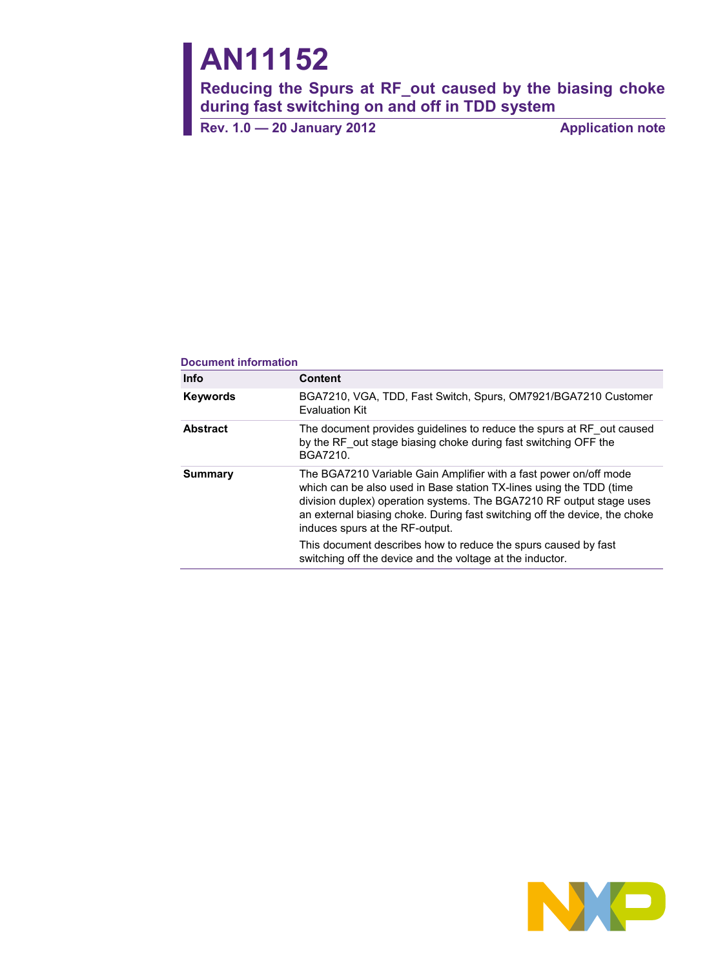# **AN11152**

**Reducing the Spurs at RF\_out caused by the biasing choke during fast switching on and off in TDD system**

**Rev. 1.0** — 20 January 2012<br> **Application note** 

#### **Document information**

| <b>Info</b>     | <b>Content</b>                                                                                                                                                                                                                                                                                                                                                                                                                                                   |
|-----------------|------------------------------------------------------------------------------------------------------------------------------------------------------------------------------------------------------------------------------------------------------------------------------------------------------------------------------------------------------------------------------------------------------------------------------------------------------------------|
| <b>Keywords</b> | BGA7210, VGA, TDD, Fast Switch, Spurs, OM7921/BGA7210 Customer<br><b>Evaluation Kit</b>                                                                                                                                                                                                                                                                                                                                                                          |
| <b>Abstract</b> | The document provides guidelines to reduce the spurs at RF out caused<br>by the RF out stage biasing choke during fast switching OFF the<br>BGA7210.                                                                                                                                                                                                                                                                                                             |
| Summary         | The BGA7210 Variable Gain Amplifier with a fast power on/off mode<br>which can be also used in Base station TX-lines using the TDD (time<br>division duplex) operation systems. The BGA7210 RF output stage uses<br>an external biasing choke. During fast switching off the device, the choke<br>induces spurs at the RF-output.<br>This document describes how to reduce the spurs caused by fast<br>switching off the device and the voltage at the inductor. |

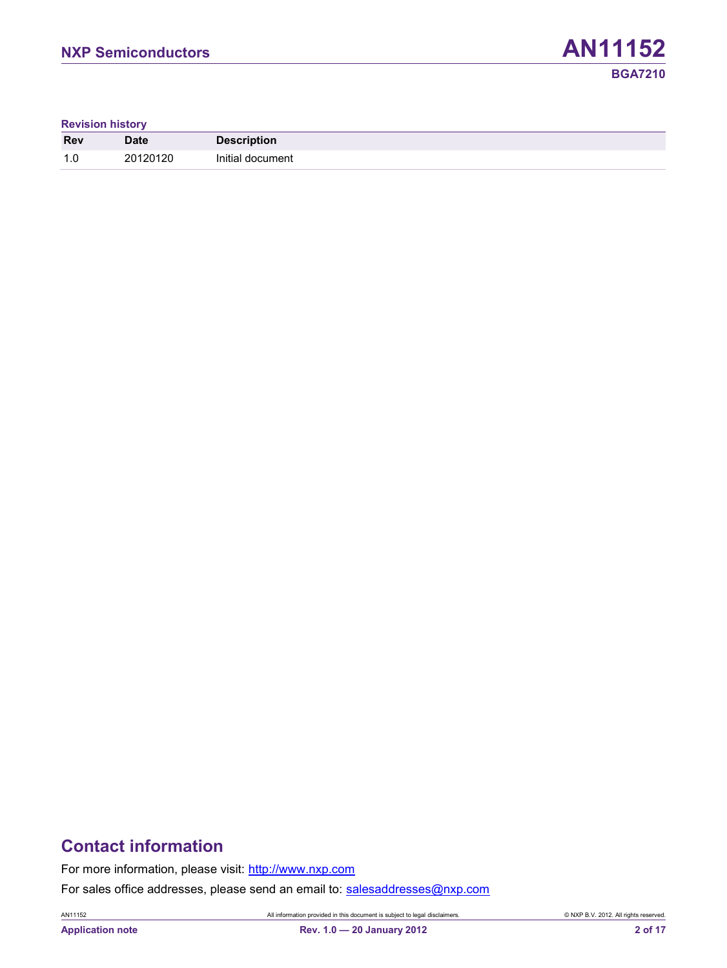**Revision history**

| <b>Rev</b>            | <b>Date</b> | <b>Description</b> |  |
|-----------------------|-------------|--------------------|--|
| $\overline{1}$<br>ن ا | 20120120    | Initial document   |  |

# **Contact information**

For more information, please visit: [http://www.nxp.com](http://www.nxp.com/)

For sales office addresses, please send an email to: [salesaddresses@nxp.com](mailto:salesaddresses@nxp.com)

AN11152 All information provided in this document is subject to legal disclaimers. © NXP B.V. 2012. All rights reserved.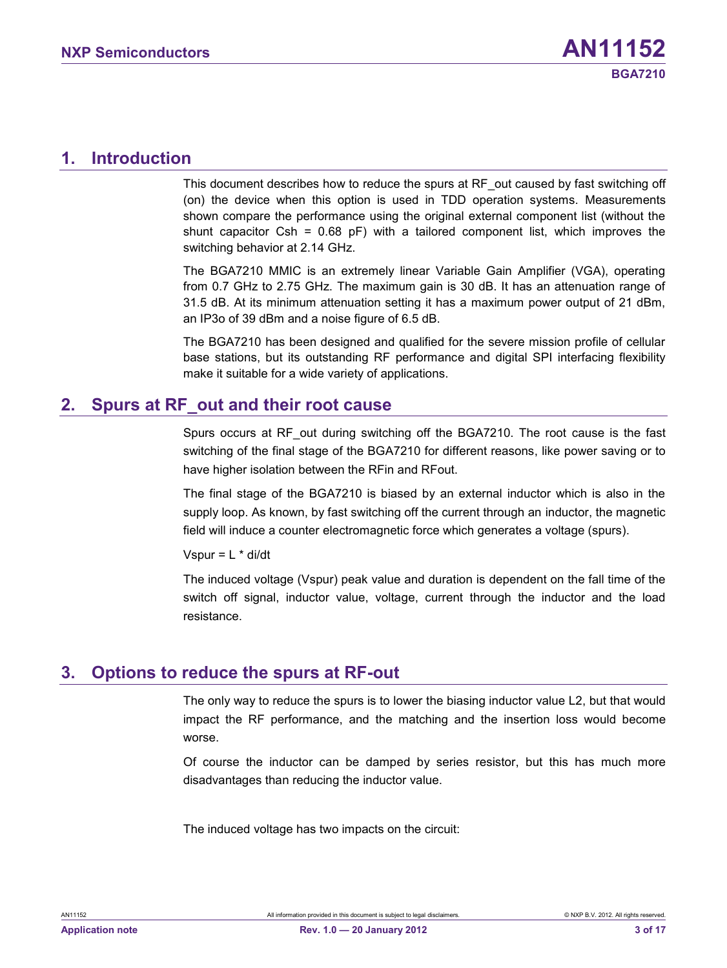### <span id="page-2-0"></span>**1. Introduction**

This document describes how to reduce the spurs at RF out caused by fast switching off (on) the device when this option is used in TDD operation systems. Measurements shown compare the performance using the original external component list (without the shunt capacitor Csh =  $0.68$  pF) with a tailored component list, which improves the switching behavior at 2.14 GHz.

The BGA7210 MMIC is an extremely linear Variable Gain Amplifier (VGA), operating from 0.7 GHz to 2.75 GHz. The maximum gain is 30 dB. It has an attenuation range of 31.5 dB. At its minimum attenuation setting it has a maximum power output of 21 dBm, an IP3o of 39 dBm and a noise figure of 6.5 dB.

The BGA7210 has been designed and qualified for the severe mission profile of cellular base stations, but its outstanding RF performance and digital SPI interfacing flexibility make it suitable for a wide variety of applications.

# <span id="page-2-1"></span>**2. Spurs at RF\_out and their root cause**

Spurs occurs at RF\_out during switching off the BGA7210. The root cause is the fast switching of the final stage of the BGA7210 for different reasons, like power saving or to have higher isolation between the RFin and RFout.

The final stage of the BGA7210 is biased by an external inductor which is also in the supply loop. As known, by fast switching off the current through an inductor, the magnetic field will induce a counter electromagnetic force which generates a voltage (spurs).

Vspur =  $L *$  di/dt

The induced voltage (Vspur) peak value and duration is dependent on the fall time of the switch off signal, inductor value, voltage, current through the inductor and the load resistance.

# <span id="page-2-2"></span>**3. Options to reduce the spurs at RF-out**

The only way to reduce the spurs is to lower the biasing inductor value L2, but that would impact the RF performance, and the matching and the insertion loss would become worse.

Of course the inductor can be damped by series resistor, but this has much more disadvantages than reducing the inductor value.

The induced voltage has two impacts on the circuit: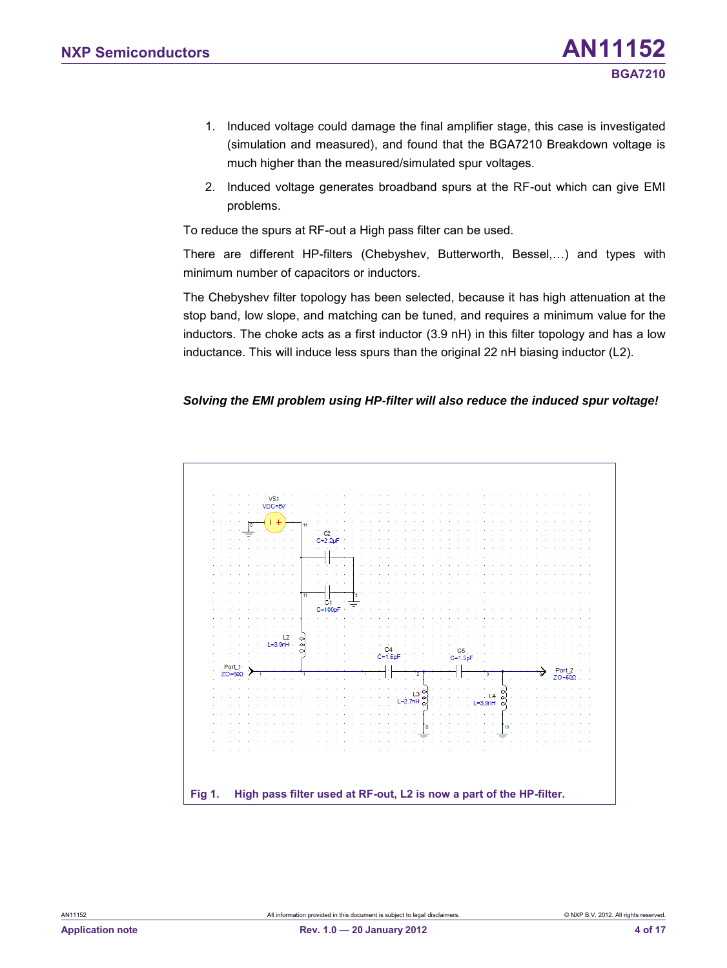- 1. Induced voltage could damage the final amplifier stage, this case is investigated (simulation and measured), and found that the BGA7210 Breakdown voltage is much higher than the measured/simulated spur voltages.
- 2. Induced voltage generates broadband spurs at the RF-out which can give EMI problems.

To reduce the spurs at RF-out a High pass filter can be used.

There are different HP-filters (Chebyshev, Butterworth, Bessel,…) and types with minimum number of capacitors or inductors.

The Chebyshev filter topology has been selected, because it has high attenuation at the stop band, low slope, and matching can be tuned, and requires a minimum value for the inductors. The choke acts as a first inductor (3.9 nH) in this filter topology and has a low inductance. This will induce less spurs than the original 22 nH biasing inductor (L2).

#### *Solving the EMI problem using HP-filter will also reduce the induced spur voltage!*

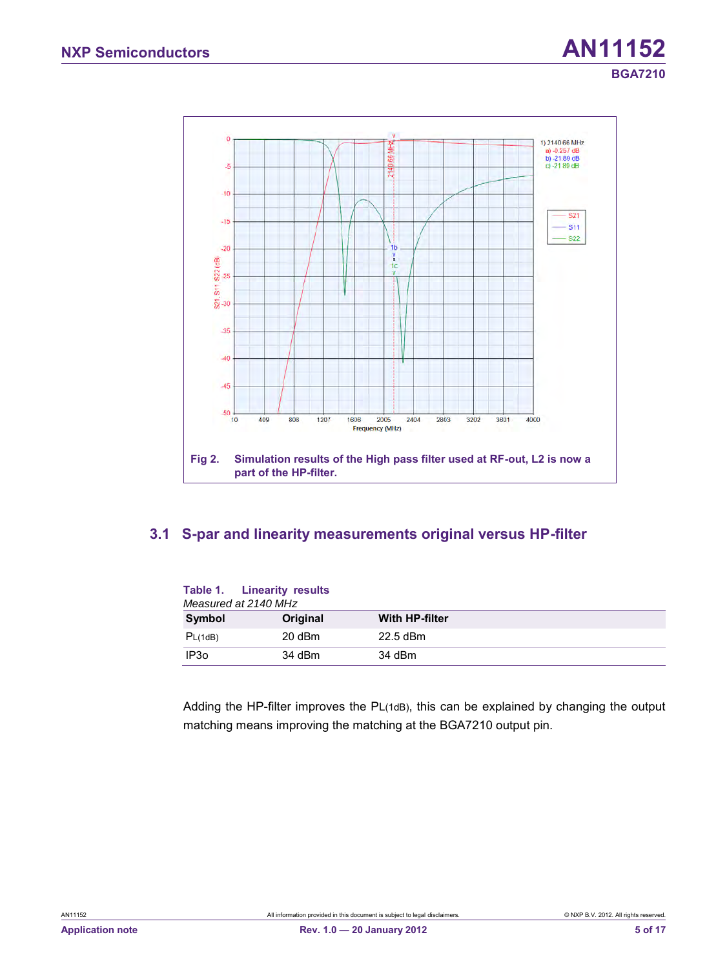

### <span id="page-4-0"></span>**3.1 S-par and linearity measurements original versus HP-filter**

| Measured at 2140 MHz | Table 1. Linearity results |                       |
|----------------------|----------------------------|-----------------------|
| Symbol               | Original                   | <b>With HP-filter</b> |
| PL(1dB)              | 20 dBm                     | $22.5$ dBm            |
| IP <sub>30</sub>     | 34 dBm                     | 34 dBm                |

Adding the HP-filter improves the PL(1dB), this can be explained by changing the output matching means improving the matching at the BGA7210 output pin.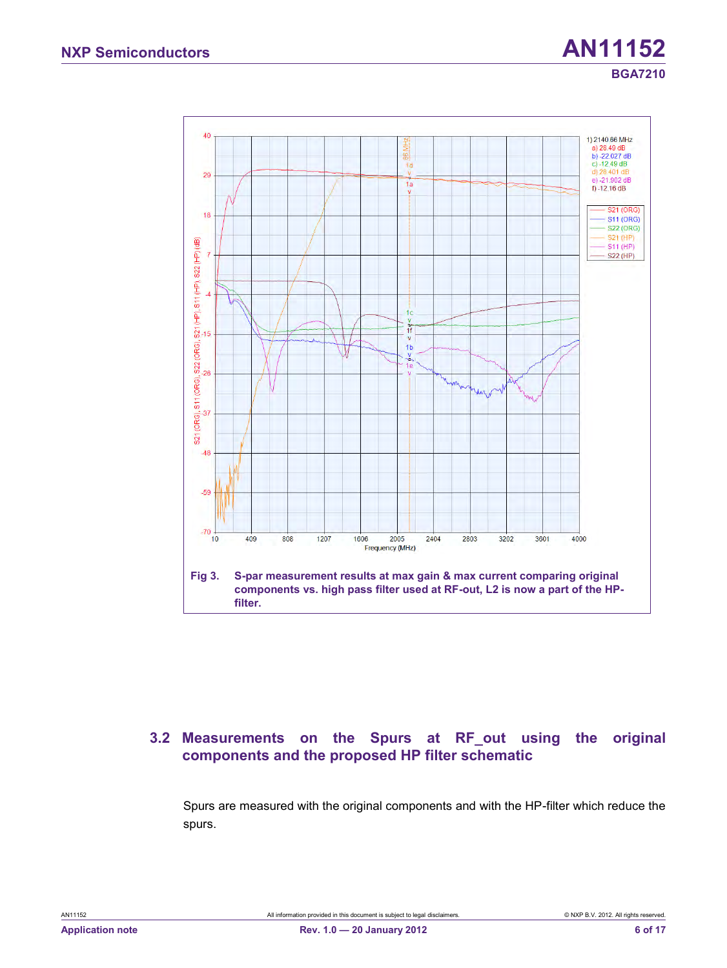# **NXP Semiconductors AN11152 BGA7210**



### <span id="page-5-0"></span>**3.2 Measurements on the Spurs at RF\_out using the original components and the proposed HP filter schematic**

Spurs are measured with the original components and with the HP-filter which reduce the spurs.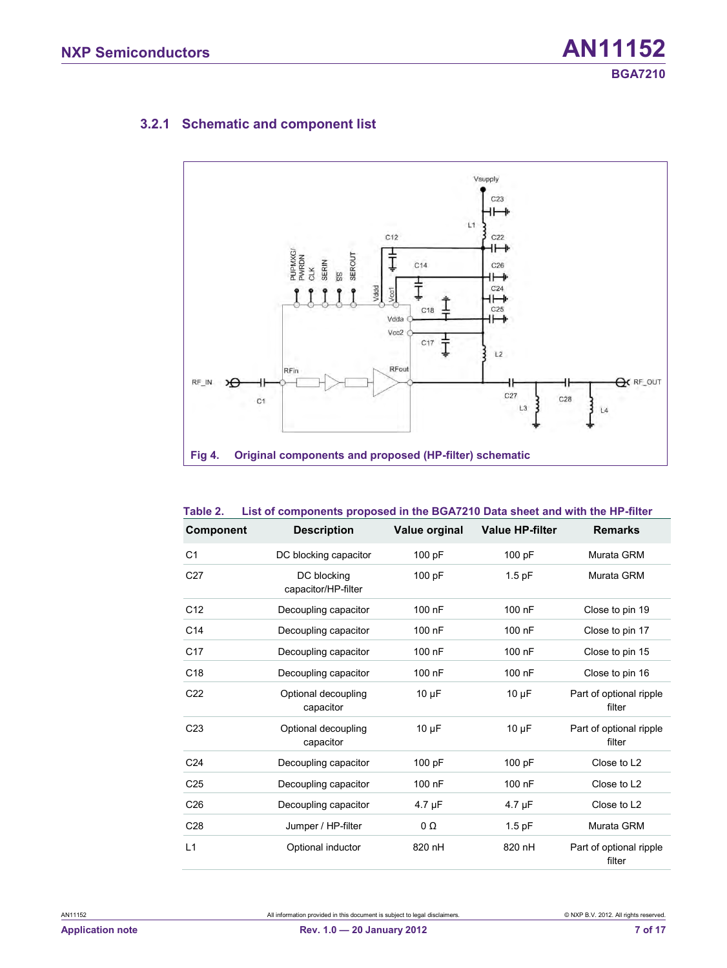## **3.2.1 Schematic and component list**

<span id="page-6-0"></span>

#### **Table 2. List of components proposed in the BGA7210 Data sheet and with the HP-filter**

| <b>Component</b> | <b>Description</b>                 | Value orginal | <b>Value HP-filter</b> | <b>Remarks</b>                    |
|------------------|------------------------------------|---------------|------------------------|-----------------------------------|
| C <sub>1</sub>   | DC blocking capacitor              | 100 pF        | 100 pF                 | Murata GRM                        |
| C <sub>27</sub>  | DC blocking<br>capacitor/HP-filter | 100 pF        | $1.5$ pF               | Murata GRM                        |
| C <sub>12</sub>  | Decoupling capacitor               | 100 nF        | 100 nF                 | Close to pin 19                   |
| C <sub>14</sub>  | Decoupling capacitor               | 100 nF        | 100 nF                 | Close to pin 17                   |
| C <sub>17</sub>  | Decoupling capacitor               | 100 nF        | 100 nF                 | Close to pin 15                   |
| C <sub>18</sub>  | Decoupling capacitor               | 100 nF        | 100 nF                 | Close to pin 16                   |
| C <sub>22</sub>  | Optional decoupling<br>capacitor   | $10 \mu F$    | $10 \mu F$             | Part of optional ripple<br>filter |
| C <sub>23</sub>  | Optional decoupling<br>capacitor   | $10 \mu F$    | $10 \mu F$             | Part of optional ripple<br>filter |
| C <sub>24</sub>  | Decoupling capacitor               | 100 pF        | 100 pF                 | Close to L <sub>2</sub>           |
| C <sub>25</sub>  | Decoupling capacitor               | 100 nF        | 100 nF                 | Close to L <sub>2</sub>           |
| C <sub>26</sub>  | Decoupling capacitor               | 4.7 µF        | $4.7 \mu F$            | Close to L2                       |
| C <sub>28</sub>  | Jumper / HP-filter                 | $0\Omega$     | $1.5$ pF               | Murata GRM                        |
| L1               | Optional inductor                  | 820 nH        | 820 nH                 | Part of optional ripple<br>filter |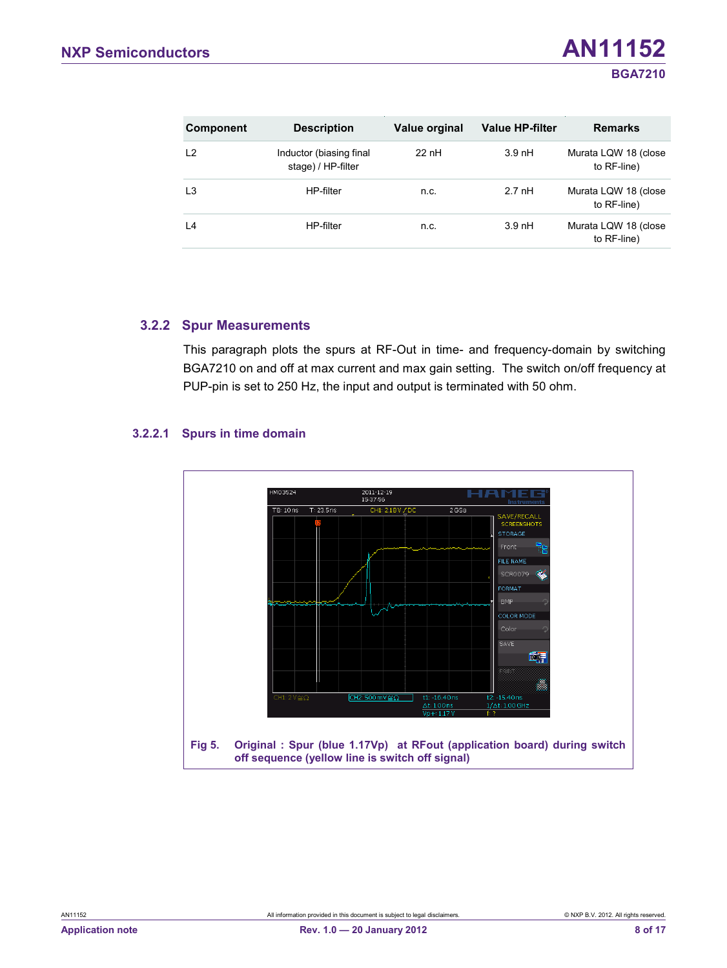| <b>Component</b> | <b>Description</b>                            | Value orginal | <b>Value HP-filter</b> | <b>Remarks</b>                      |
|------------------|-----------------------------------------------|---------------|------------------------|-------------------------------------|
| L <sub>2</sub>   | Inductor (biasing final<br>stage) / HP-filter | $22$ nH       | $3.9$ nH               | Murata LQW 18 (close<br>to RF-line) |
| L <sub>3</sub>   | HP-filter                                     | n.c.          | $2.7$ nH               | Murata LQW 18 (close<br>to RF-line) |
| L4               | HP-filter                                     | n.c.          | $3.9$ nH               | Murata LQW 18 (close<br>to RF-line) |

#### **3.2.2 Spur Measurements**

<span id="page-7-0"></span>This paragraph plots the spurs at RF-Out in time- and frequency-domain by switching BGA7210 on and off at max current and max gain setting. The switch on/off frequency at PUP-pin is set to 250 Hz, the input and output is terminated with 50 ohm.

#### **3.2.2.1 Spurs in time domain**

<span id="page-7-1"></span>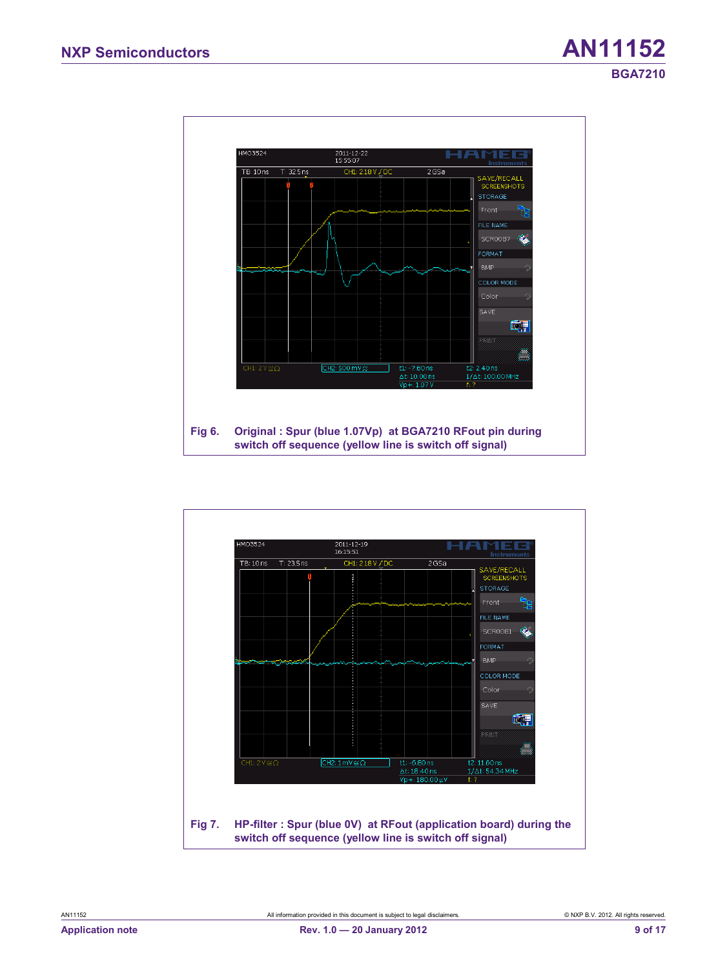

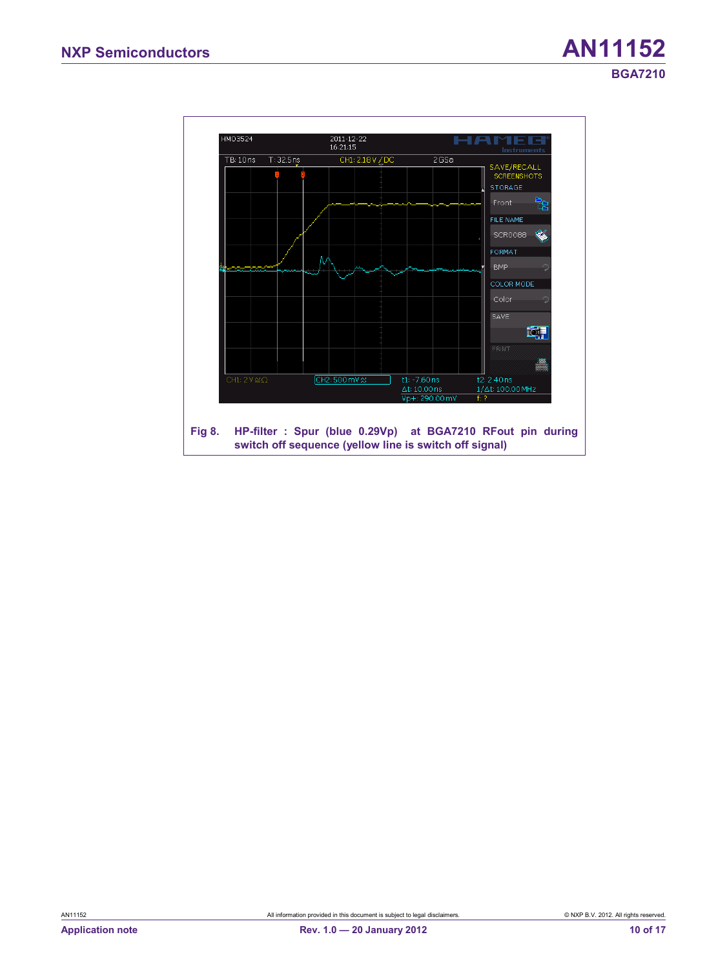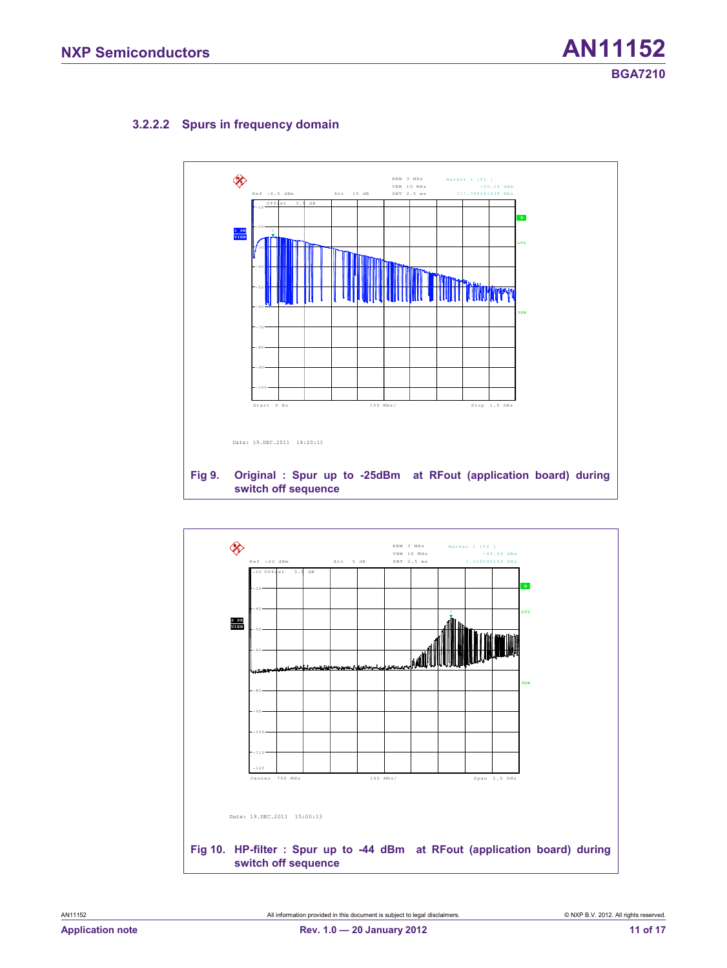#### **3.2.2.2 Spurs in frequency domain**

<span id="page-10-0"></span>

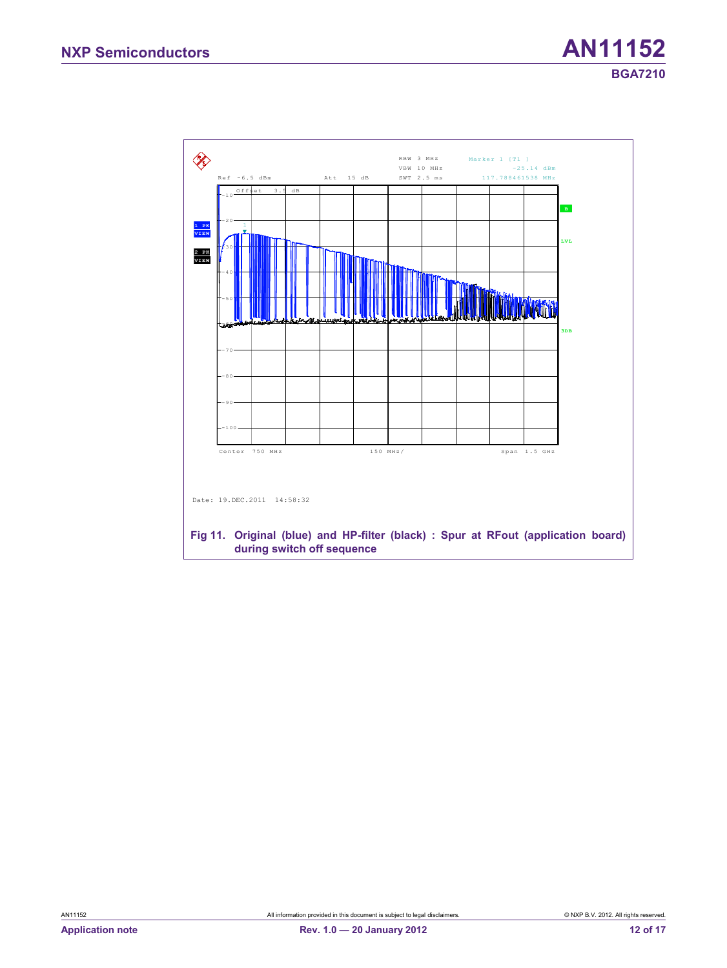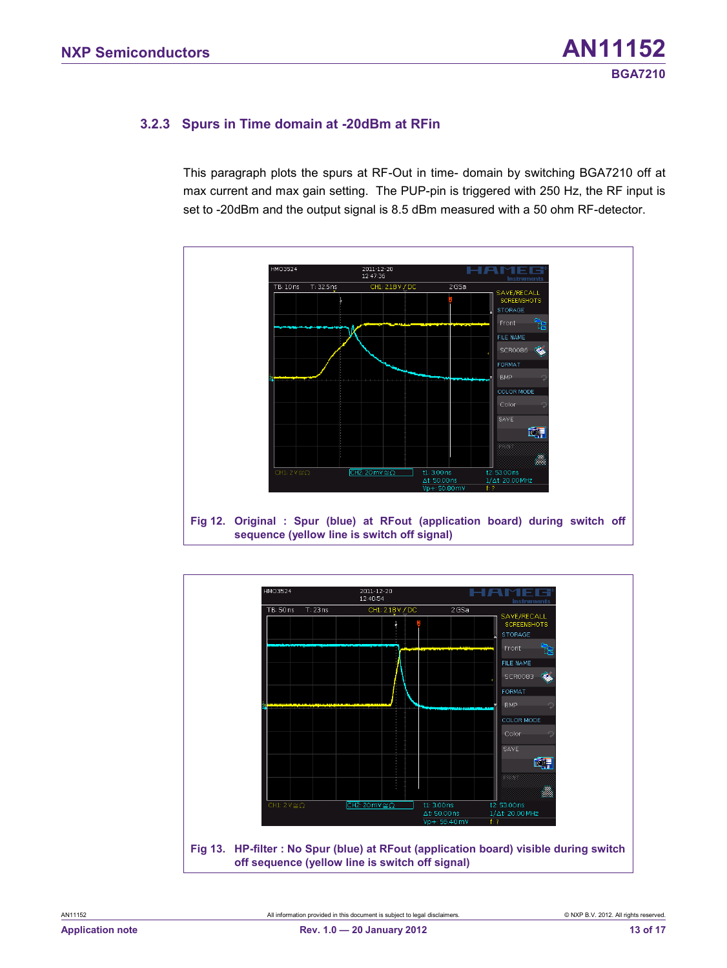#### <span id="page-12-0"></span>**3.2.3 Spurs in Time domain at -20dBm at RFin**

This paragraph plots the spurs at RF-Out in time- domain by switching BGA7210 off at max current and max gain setting. The PUP-pin is triggered with 250 Hz, the RF input is set to -20dBm and the output signal is 8.5 dBm measured with a 50 ohm RF-detector.



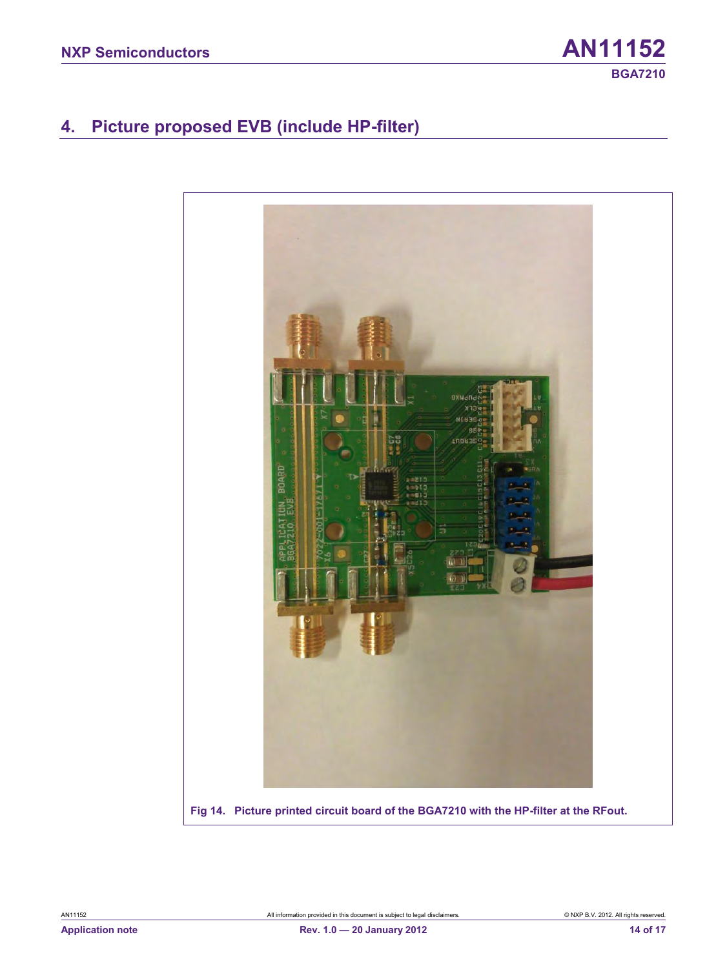# <span id="page-13-0"></span>**4. Picture proposed EVB (include HP-filter)**

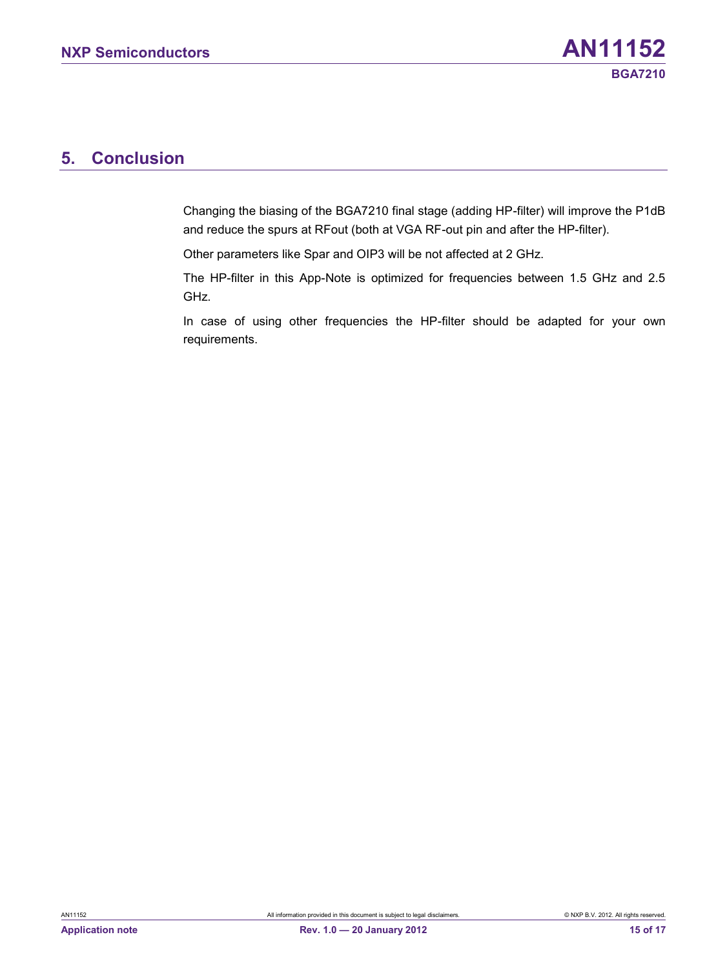# <span id="page-14-0"></span>**5. Conclusion**

Changing the biasing of the BGA7210 final stage (adding HP-filter) will improve the P1dB and reduce the spurs at RFout (both at VGA RF-out pin and after the HP-filter).

Other parameters like Spar and OIP3 will be not affected at 2 GHz.

The HP-filter in this App-Note is optimized for frequencies between 1.5 GHz and 2.5 GHz.

In case of using other frequencies the HP-filter should be adapted for your own requirements.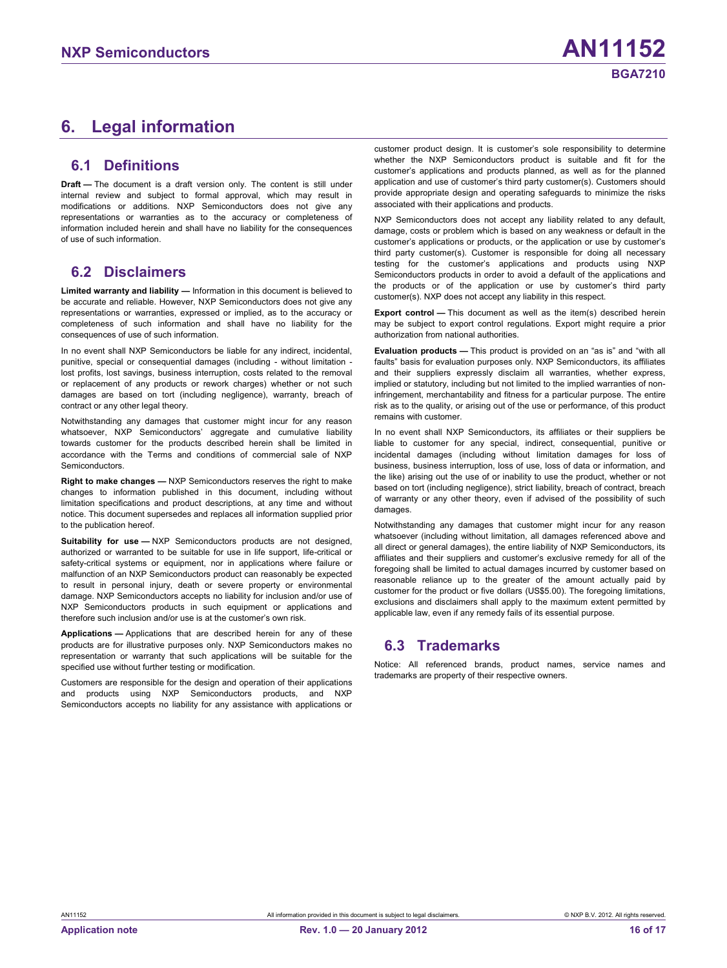# <span id="page-15-0"></span>**6. Legal information**

#### <span id="page-15-1"></span>**6.1 Definitions**

**Draft —** The document is a draft version only. The content is still under internal review and subject to formal approval, which may result in modifications or additions. NXP Semiconductors does not give any representations or warranties as to the accuracy or completeness of information included herein and shall have no liability for the consequences of use of such information.

#### <span id="page-15-2"></span>**6.2 Disclaimers**

**Limited warranty and liability —** Information in this document is believed to be accurate and reliable. However, NXP Semiconductors does not give any representations or warranties, expressed or implied, as to the accuracy or completeness of such information and shall have no liability for the consequences of use of such information.

In no event shall NXP Semiconductors be liable for any indirect, incidental, punitive, special or consequential damages (including - without limitation lost profits, lost savings, business interruption, costs related to the removal or replacement of any products or rework charges) whether or not such damages are based on tort (including negligence), warranty, breach of contract or any other legal theory.

Notwithstanding any damages that customer might incur for any reason whatsoever, NXP Semiconductors' aggregate and cumulative liability towards customer for the products described herein shall be limited in accordance with the Terms and conditions of commercial sale of NXP **Semiconductors** 

**Right to make changes —** NXP Semiconductors reserves the right to make changes to information published in this document, including without limitation specifications and product descriptions, at any time and without notice. This document supersedes and replaces all information supplied prior to the publication hereof.

**Suitability for use —** NXP Semiconductors products are not designed, authorized or warranted to be suitable for use in life support, life-critical or safety-critical systems or equipment, nor in applications where failure or malfunction of an NXP Semiconductors product can reasonably be expected to result in personal injury, death or severe property or environmental damage. NXP Semiconductors accepts no liability for inclusion and/or use of NXP Semiconductors products in such equipment or applications and therefore such inclusion and/or use is at the customer's own risk.

**Applications —** Applications that are described herein for any of these products are for illustrative purposes only. NXP Semiconductors makes no representation or warranty that such applications will be suitable for the specified use without further testing or modification.

Customers are responsible for the design and operation of their applications and products using NXP Semiconductors products, and NXP Semiconductors accepts no liability for any assistance with applications or customer product design. It is customer's sole responsibility to determine whether the NXP Semiconductors product is suitable and fit for the customer's applications and products planned, as well as for the planned application and use of customer's third party customer(s). Customers should provide appropriate design and operating safeguards to minimize the risks associated with their applications and products.

NXP Semiconductors does not accept any liability related to any default, damage, costs or problem which is based on any weakness or default in the customer's applications or products, or the application or use by customer's third party customer(s). Customer is responsible for doing all necessary testing for the customer's applications and products using NXP Semiconductors products in order to avoid a default of the applications and the products or of the application or use by customer's third party customer(s). NXP does not accept any liability in this respect.

**Export control —** This document as well as the item(s) described herein may be subject to export control regulations. Export might require a prior authorization from national authorities.

**Evaluation products —** This product is provided on an "as is" and "with all faults" basis for evaluation purposes only. NXP Semiconductors, its affiliates and their suppliers expressly disclaim all warranties, whether express, implied or statutory, including but not limited to the implied warranties of noninfringement, merchantability and fitness for a particular purpose. The entire risk as to the quality, or arising out of the use or performance, of this product remains with customer.

In no event shall NXP Semiconductors, its affiliates or their suppliers be liable to customer for any special, indirect, consequential, punitive or incidental damages (including without limitation damages for loss of business, business interruption, loss of use, loss of data or information, and the like) arising out the use of or inability to use the product, whether or not based on tort (including negligence), strict liability, breach of contract, breach of warranty or any other theory, even if advised of the possibility of such damages.

Notwithstanding any damages that customer might incur for any reason whatsoever (including without limitation, all damages referenced above and all direct or general damages), the entire liability of NXP Semiconductors, its affiliates and their suppliers and customer's exclusive remedy for all of the foregoing shall be limited to actual damages incurred by customer based on reasonable reliance up to the greater of the amount actually paid by customer for the product or five dollars (US\$5.00). The foregoing limitations, exclusions and disclaimers shall apply to the maximum extent permitted by applicable law, even if any remedy fails of its essential purpose.

#### <span id="page-15-3"></span>**6.3 Trademarks**

Notice: All referenced brands, product names, service names and trademarks are property of their respective owners.